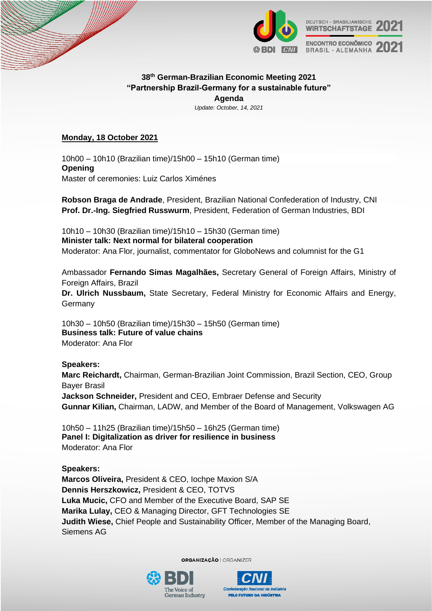

# **38th German-Brazilian Economic Meeting 2021 "Partnership Brazil-Germany for a sustainable future" Agenda**

*Update: October, 14, 2021*

# **Monday, 18 October 2021**

10h00 – 10h10 (Brazilian time)/15h00 – 15h10 (German time) **Opening** Master of ceremonies: Luiz Carlos Ximénes

**Robson Braga de Andrade**, President, Brazilian National Confederation of Industry, CNI **Prof. Dr.-Ing. Siegfried Russwurm**, President, Federation of German Industries, BDI

10h10 – 10h30 (Brazilian time)/15h10 – 15h30 (German time) **Minister talk: Next normal for bilateral cooperation** Moderator: Ana Flor, journalist, commentator for GloboNews and columnist for the G1

Ambassador **Fernando Simas Magalhães,** Secretary General of Foreign Affairs, Ministry of Foreign Affairs, Brazil

**Dr. Ulrich Nussbaum,** State Secretary, Federal Ministry for Economic Affairs and Energy, Germany

10h30 – 10h50 (Brazilian time)/15h30 – 15h50 (German time) **Business talk: Future of value chains** Moderator: Ana Flor

# **Speakers:**

**Marc Reichardt,** Chairman, German-Brazilian Joint Commission, Brazil Section, CEO, Group Bayer Brasil **Jackson Schneider,** President and CEO, Embraer Defense and Security

**Gunnar Kilian,** Chairman, LADW, and Member of the Board of Management, Volkswagen AG

10h50 – 11h25 (Brazilian time)/15h50 – 16h25 (German time) **Panel I: Digitalization as driver for resilience in business** Moderator: Ana Flor

**Speakers: Marcos Oliveira,** President & CEO, Iochpe Maxion S/A **Dennis Herszkowicz,** President & CEO, TOTVS **Luka Mucic,** CFO and Member of the Executive Board, SAP SE **Marika Lulay,** CEO & Managing Director, GFT Technologies SE **Judith Wiese,** Chief People and Sustainability Officer, Member of the Managing Board, Siemens AG

**ORGANIZAÇÃO | ORGANIZER**